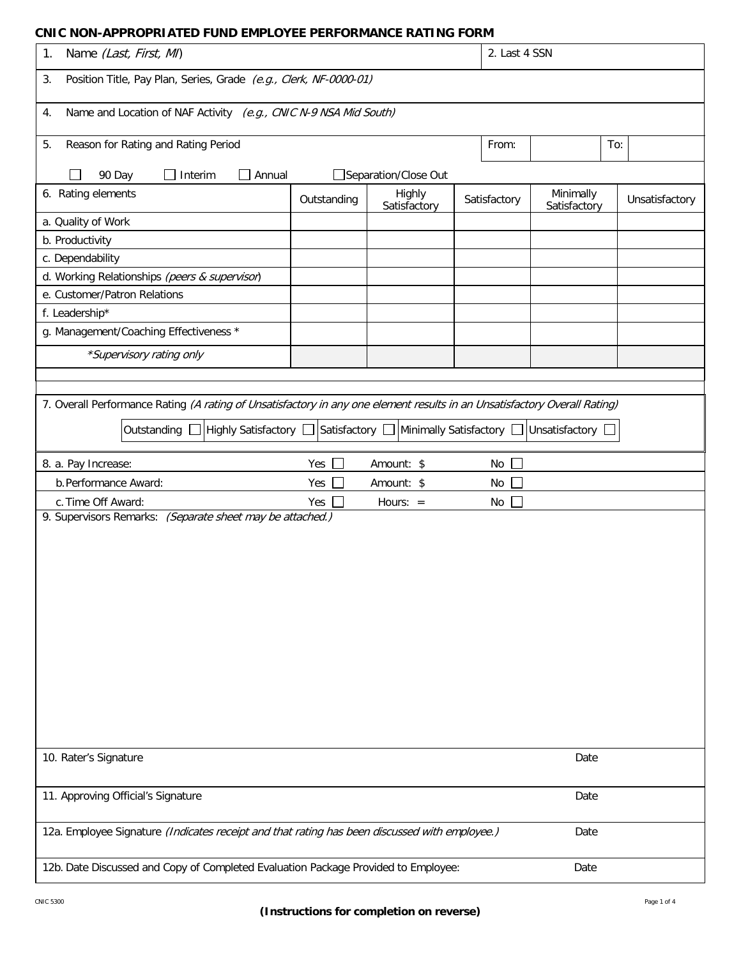## **CNIC NON-APPROPRIATED FUND EMPLOYEE PERFORMANCE RATING FORM**

| 1.<br>Name (Last, First, MI)                                                                                              |               |                        |              | 2. Last 4 SSN             |                |  |  |
|---------------------------------------------------------------------------------------------------------------------------|---------------|------------------------|--------------|---------------------------|----------------|--|--|
| Position Title, Pay Plan, Series, Grade (e.g., Clerk, NF-0000-01)<br>3.                                                   |               |                        |              |                           |                |  |  |
| Name and Location of NAF Activity (e.g., CNIC N-9 NSA Mid South)<br>4.                                                    |               |                        |              |                           |                |  |  |
| Reason for Rating and Rating Period<br>5.                                                                                 |               |                        | From:        | To:                       |                |  |  |
| $\Box$ Interim<br>Annual<br>90 Day                                                                                        |               | Separation/Close Out   |              |                           |                |  |  |
| 6. Rating elements                                                                                                        | Outstanding   | Highly<br>Satisfactory | Satisfactory | Minimally<br>Satisfactory | Unsatisfactory |  |  |
| a. Quality of Work                                                                                                        |               |                        |              |                           |                |  |  |
| b. Productivity                                                                                                           |               |                        |              |                           |                |  |  |
| c. Dependability                                                                                                          |               |                        |              |                           |                |  |  |
| d. Working Relationships (peers & supervisor)                                                                             |               |                        |              |                           |                |  |  |
| e. Customer/Patron Relations                                                                                              |               |                        |              |                           |                |  |  |
| f. Leadership*                                                                                                            |               |                        |              |                           |                |  |  |
| g. Management/Coaching Effectiveness *                                                                                    |               |                        |              |                           |                |  |  |
| *Supervisory rating only                                                                                                  |               |                        |              |                           |                |  |  |
|                                                                                                                           |               |                        |              |                           |                |  |  |
|                                                                                                                           |               |                        |              |                           |                |  |  |
| 7. Overall Performance Rating (A rating of Unsatisfactory in any one element results in an Unsatisfactory Overall Rating) |               |                        |              |                           |                |  |  |
| Highly Satisfactory □ Satisfactory □ Minimally Satisfactory □<br>Outstanding $\square$                                    |               |                        |              | Unsatisfactory            |                |  |  |
|                                                                                                                           |               |                        |              |                           |                |  |  |
| 8. a. Pay Increase:                                                                                                       | Yes $\square$ | Amount: \$             | No           |                           |                |  |  |
| b. Performance Award:                                                                                                     | Yes           | Amount: \$             | No           |                           |                |  |  |
| c. Time Off Award:                                                                                                        | Yes<br>a s    | Hours: $=$             | No           |                           |                |  |  |
| 9. Supervisors Remarks: (Separate sheet may be attached.)                                                                 |               |                        |              |                           |                |  |  |
|                                                                                                                           |               |                        |              |                           |                |  |  |
|                                                                                                                           |               |                        |              |                           |                |  |  |
|                                                                                                                           |               |                        |              |                           |                |  |  |
|                                                                                                                           |               |                        |              |                           |                |  |  |
|                                                                                                                           |               |                        |              |                           |                |  |  |
|                                                                                                                           |               |                        |              |                           |                |  |  |
|                                                                                                                           |               |                        |              |                           |                |  |  |
|                                                                                                                           |               |                        |              |                           |                |  |  |
|                                                                                                                           |               |                        |              |                           |                |  |  |
|                                                                                                                           |               |                        |              |                           |                |  |  |
|                                                                                                                           |               |                        |              |                           |                |  |  |
|                                                                                                                           |               |                        |              |                           |                |  |  |
|                                                                                                                           |               |                        |              |                           |                |  |  |
| 10. Rater's Signature                                                                                                     |               |                        |              | Date                      |                |  |  |
| Date<br>11. Approving Official's Signature                                                                                |               |                        |              |                           |                |  |  |
| 12a. Employee Signature (Indicates receipt and that rating has been discussed with employee.)<br>Date                     |               |                        |              |                           |                |  |  |
|                                                                                                                           |               |                        |              |                           |                |  |  |
| 12b. Date Discussed and Copy of Completed Evaluation Package Provided to Employee:<br>Date                                |               |                        |              |                           |                |  |  |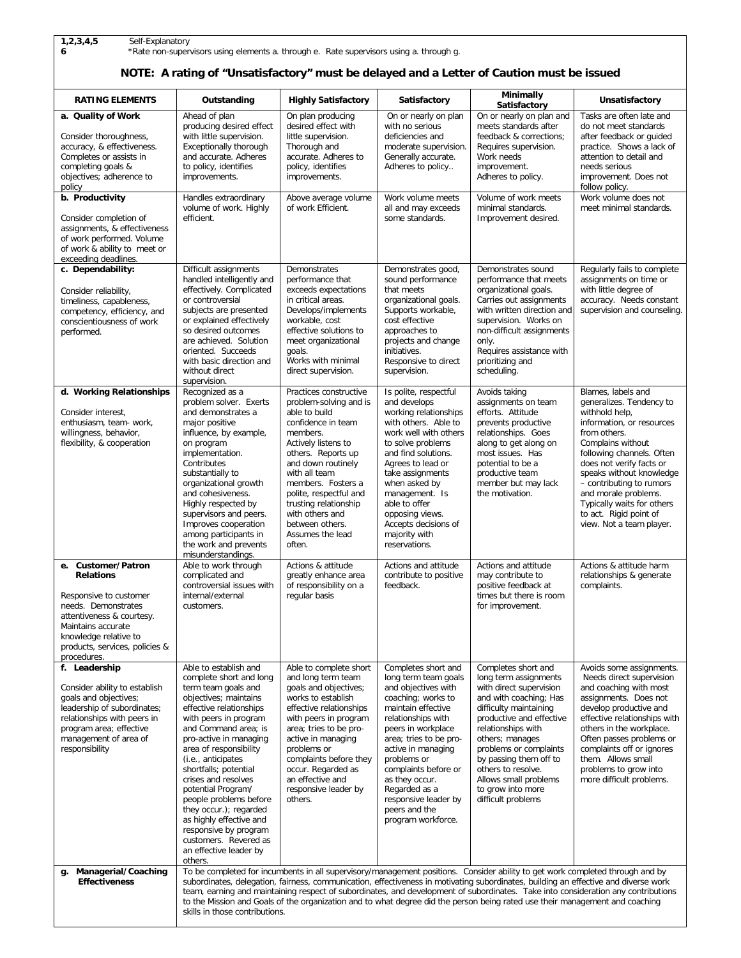**6** \*Rate non-supervisors using elements a. through e. Rate supervisors using a. through g.

## **NOTE: A rating of "Unsatisfactory" must be delayed and a Letter of Caution must be issued**

| <b>RATING ELEMENTS</b>                                                                                                                                                                                                     | Outstanding                                                                                                                                                                                                                                                                                                                                                                                                                                                                                                                                                                 | <b>Highly Satisfactory</b>                                                                                                                                                                                                                                                                                                           | Satisfactory                                                                                                                                                                                                                                                                                                                                        | Minimally<br>Satisfactory                                                                                                                                                                                                                                                                                                                      | Unsatisfactory                                                                                                                                                                                                                                                                                                                                                  |  |
|----------------------------------------------------------------------------------------------------------------------------------------------------------------------------------------------------------------------------|-----------------------------------------------------------------------------------------------------------------------------------------------------------------------------------------------------------------------------------------------------------------------------------------------------------------------------------------------------------------------------------------------------------------------------------------------------------------------------------------------------------------------------------------------------------------------------|--------------------------------------------------------------------------------------------------------------------------------------------------------------------------------------------------------------------------------------------------------------------------------------------------------------------------------------|-----------------------------------------------------------------------------------------------------------------------------------------------------------------------------------------------------------------------------------------------------------------------------------------------------------------------------------------------------|------------------------------------------------------------------------------------------------------------------------------------------------------------------------------------------------------------------------------------------------------------------------------------------------------------------------------------------------|-----------------------------------------------------------------------------------------------------------------------------------------------------------------------------------------------------------------------------------------------------------------------------------------------------------------------------------------------------------------|--|
| a. Quality of Work<br>Consider thoroughness,<br>accuracy, & effectiveness.<br>Completes or assists in<br>completing goals &<br>objectives; adherence to<br>policy<br>b. Productivity                                       | Ahead of plan<br>producing desired effect<br>with little supervision.<br>Exceptionally thorough<br>and accurate. Adheres<br>to policy, identifies<br>improvements.<br>Handles extraordinary                                                                                                                                                                                                                                                                                                                                                                                 | On plan producing<br>desired effect with<br>little supervision.<br>Thorough and<br>accurate. Adheres to<br>policy, identifies<br>improvements.<br>Above average volume                                                                                                                                                               | On or nearly on plan<br>with no serious<br>deficiencies and<br>moderate supervision.<br>Generally accurate.<br>Adheres to policy<br>Work volume meets                                                                                                                                                                                               | On or nearly on plan and<br>meets standards after<br>feedback & corrections;<br>Requires supervision.<br>Work needs<br>improvement.<br>Adheres to policy.<br>Volume of work meets                                                                                                                                                              | Tasks are often late and<br>do not meet standards<br>after feedback or guided<br>practice. Shows a lack of<br>attention to detail and<br>needs serious<br>improvement. Does not<br>follow policy.<br>Work volume does not                                                                                                                                       |  |
| Consider completion of<br>assignments, & effectiveness<br>of work performed. Volume<br>of work & ability to meet or<br>exceeding deadlines.                                                                                | volume of work. Highly<br>efficient.                                                                                                                                                                                                                                                                                                                                                                                                                                                                                                                                        | of work Efficient.                                                                                                                                                                                                                                                                                                                   | all and may exceeds<br>some standards.                                                                                                                                                                                                                                                                                                              | minimal standards.<br>Improvement desired.                                                                                                                                                                                                                                                                                                     | meet minimal standards.                                                                                                                                                                                                                                                                                                                                         |  |
| c. Dependability:<br>Consider reliability,<br>timeliness, capableness,<br>competency, efficiency, and<br>conscientiousness of work<br>performed.                                                                           | Difficult assignments<br>handled intelligently and<br>effectively. Complicated<br>or controversial<br>subjects are presented<br>or explained effectively<br>so desired outcomes<br>are achieved. Solution<br>oriented. Succeeds<br>with basic direction and<br>without direct<br>supervision.                                                                                                                                                                                                                                                                               | Demonstrates<br>performance that<br>exceeds expectations<br>in critical areas.<br>Develops/implements<br>workable, cost<br>effective solutions to<br>meet organizational<br>goals.<br>Works with minimal<br>direct supervision.                                                                                                      | Demonstrates good,<br>sound performance<br>that meets<br>organizational goals.<br>Supports workable,<br>cost effective<br>approaches to<br>projects and change<br>initiatives.<br>Responsive to direct<br>supervision.                                                                                                                              | Demonstrates sound<br>performance that meets<br>organizational goals.<br>Carries out assignments<br>with written direction and<br>supervision. Works on<br>non-difficult assignments<br>only.<br>Requires assistance with<br>prioritizing and<br>scheduling.                                                                                   | Regularly fails to complete<br>assignments on time or<br>with little degree of<br>accuracy. Needs constant<br>supervision and counseling.                                                                                                                                                                                                                       |  |
| d. Working Relationships<br>Consider interest,<br>enthusiasm, team- work,<br>willingness, behavior,<br>flexibility, & cooperation                                                                                          | Recognized as a<br>problem solver. Exerts<br>and demonstrates a<br>major positive<br>influence, by example,<br>on program<br>implementation.<br>Contributes<br>substantially to<br>organizational growth<br>and cohesiveness.<br>Highly respected by<br>supervisors and peers.<br>Improves cooperation<br>among participants in<br>the work and prevents<br>misunderstandings.                                                                                                                                                                                              | Practices constructive<br>problem-solving and is<br>able to build<br>confidence in team<br>members.<br>Actively listens to<br>others. Reports up<br>and down routinely<br>with all team<br>members. Fosters a<br>polite, respectful and<br>trusting relationship<br>with others and<br>between others.<br>Assumes the lead<br>often. | Is polite, respectful<br>and develops<br>working relationships<br>with others. Able to<br>work well with others<br>to solve problems<br>and find solutions.<br>Agrees to lead or<br>take assignments<br>when asked by<br>management. Is<br>able to offer<br>opposing views.<br>Accepts decisions of<br>majority with<br>reservations.               | Avoids taking<br>assignments on team<br>efforts. Attitude<br>prevents productive<br>relationships. Goes<br>along to get along on<br>most issues. Has<br>potential to be a<br>productive team<br>member but may lack<br>the motivation.                                                                                                         | Blames, labels and<br>generalizes. Tendency to<br>withhold help,<br>information, or resources<br>from others.<br>Complains without<br>following channels. Often<br>does not verify facts or<br>speaks without knowledge<br>- contributing to rumors<br>and morale problems.<br>Typically waits for others<br>to act. Rigid point of<br>view. Not a team player. |  |
| e. Customer/Patron<br><b>Relations</b><br>Responsive to customer<br>needs. Demonstrates<br>attentiveness & courtesy.<br>Maintains accurate<br>knowledge relative to<br>products, services, policies &                      | Able to work through<br>complicated and<br>controversial issues with<br>internal/external<br>customers.                                                                                                                                                                                                                                                                                                                                                                                                                                                                     | Actions & attitude<br>greatly enhance area<br>of responsibility on a<br>regular basis                                                                                                                                                                                                                                                | Actions and attitude<br>contribute to positive<br>feedback.                                                                                                                                                                                                                                                                                         | Actions and attitude<br>may contribute to<br>positive feedback at<br>times but there is room<br>for improvement.                                                                                                                                                                                                                               | Actions & attitude harm<br>relationships & generate<br>complaints.                                                                                                                                                                                                                                                                                              |  |
| procedures.<br>f. Leadership<br>Consider ability to establish<br>goals and objectives;<br>leadership of subordinates;<br>relationships with peers in<br>program area; effective<br>management of area of<br>responsibility | Able to establish and<br>complete short and long<br>term team goals and<br>objectives; maintains<br>effective relationships<br>with peers in program<br>and Command area; is<br>pro-active in managing<br>area of responsibility<br>(i.e., anticipates<br>shortfalls; potential<br>crises and resolves<br>potential Program/<br>people problems before<br>they occur.); regarded<br>as highly effective and<br>responsive by program<br>customers. Revered as<br>an effective leader by<br>others.                                                                          | Able to complete short<br>and long term team<br>goals and objectives;<br>works to establish<br>effective relationships<br>with peers in program<br>area; tries to be pro-<br>active in managing<br>problems or<br>complaints before they<br>occur. Regarded as<br>an effective and<br>responsive leader by<br>others.                | Completes short and<br>long term team goals<br>and objectives with<br>coaching; works to<br>maintain effective<br>relationships with<br>peers in workplace<br>area; tries to be pro-<br>active in managing<br>problems or<br>complaints before or<br>as they occur.<br>Regarded as a<br>responsive leader by<br>peers and the<br>program workforce. | Completes short and<br>long term assignments<br>with direct supervision<br>and with coaching; Has<br>difficulty maintaining<br>productive and effective<br>relationships with<br>others; manages<br>problems or complaints<br>by passing them off to<br>others to resolve.<br>Allows small problems<br>to grow into more<br>difficult problems | Avoids some assignments.<br>Needs direct supervision<br>and coaching with most<br>assignments. Does not<br>develop productive and<br>effective relationships with<br>others in the workplace.<br>Often passes problems or<br>complaints off or ignores<br>them. Allows small<br>problems to grow into<br>more difficult problems.                               |  |
| Managerial/Coaching<br>g.<br><b>Effectiveness</b>                                                                                                                                                                          | To be completed for incumbents in all supervisory/management positions. Consider ability to get work completed through and by<br>subordinates, delegation, fairness, communication, effectiveness in motivating subordinates, building an effective and diverse work<br>team, earning and maintaining respect of subordinates, and development of subordinates. Take into consideration any contributions<br>to the Mission and Goals of the organization and to what degree did the person being rated use their management and coaching<br>skills in those contributions. |                                                                                                                                                                                                                                                                                                                                      |                                                                                                                                                                                                                                                                                                                                                     |                                                                                                                                                                                                                                                                                                                                                |                                                                                                                                                                                                                                                                                                                                                                 |  |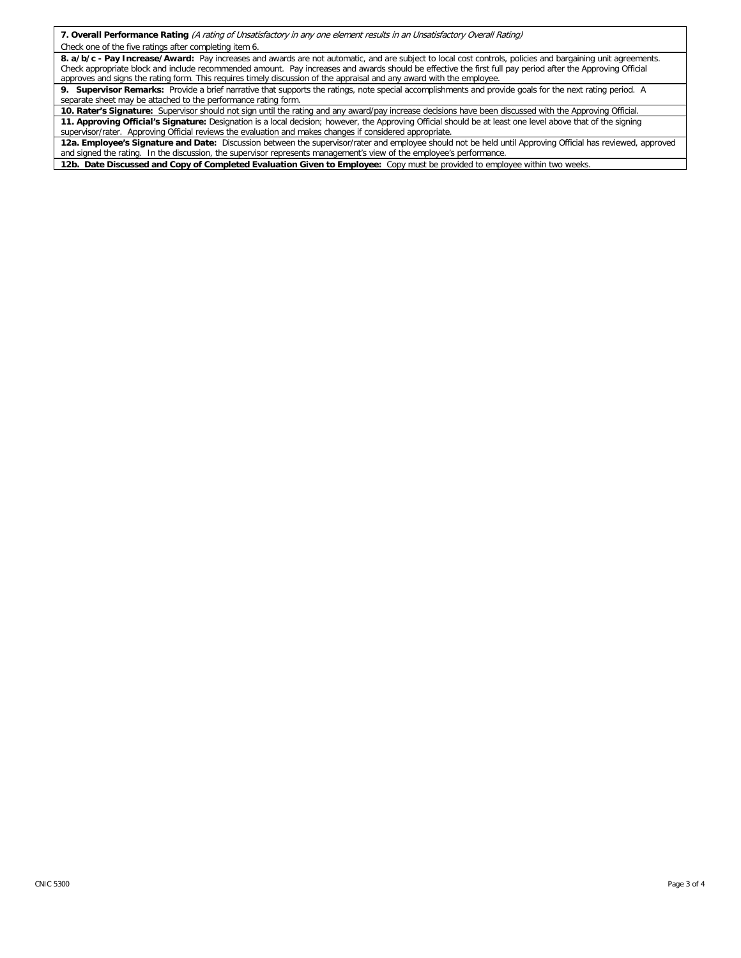**7. Overall Performance Rating** (A rating of Unsatisfactory in any one element results in an Unsatisfactory Overall Rating)

Check one of the five ratings after completing item 6.

**8. a/b/c - Pay Increase/Award:** Pay increases and awards are not automatic, and are subject to local cost controls, policies and bargaining unit agreements. Check appropriate block and include recommended amount. Pay increases and awards should be effective the first full pay period after the Approving Official approves and signs the rating form. This requires timely discussion of the appraisal and any award with the employee.

**9. Supervisor Remarks:** Provide a brief narrative that supports the ratings, note special accomplishments and provide goals for the next rating period. A separate sheet may be attached to the performance rating form.

**10. Rater's Signature:** Supervisor should not sign until the rating and any award/pay increase decisions have been discussed with the Approving Official. **11. Approving Official's Signature:** Designation is a local decision; however, the Approving Official should be at least one level above that of the signing supervisor/rater. Approving Official reviews the evaluation and makes changes if considered appropriate.

**12a. Employee's Signature and Date:** Discussion between the supervisor/rater and employee should not be held until Approving Official has reviewed, approved and signed the rating. In the discussion, the supervisor represents management's view of the employee's performance

**12b. Date Discussed and Copy of Completed Evaluation Given to Employee:** Copy must be provided to employee within two weeks.